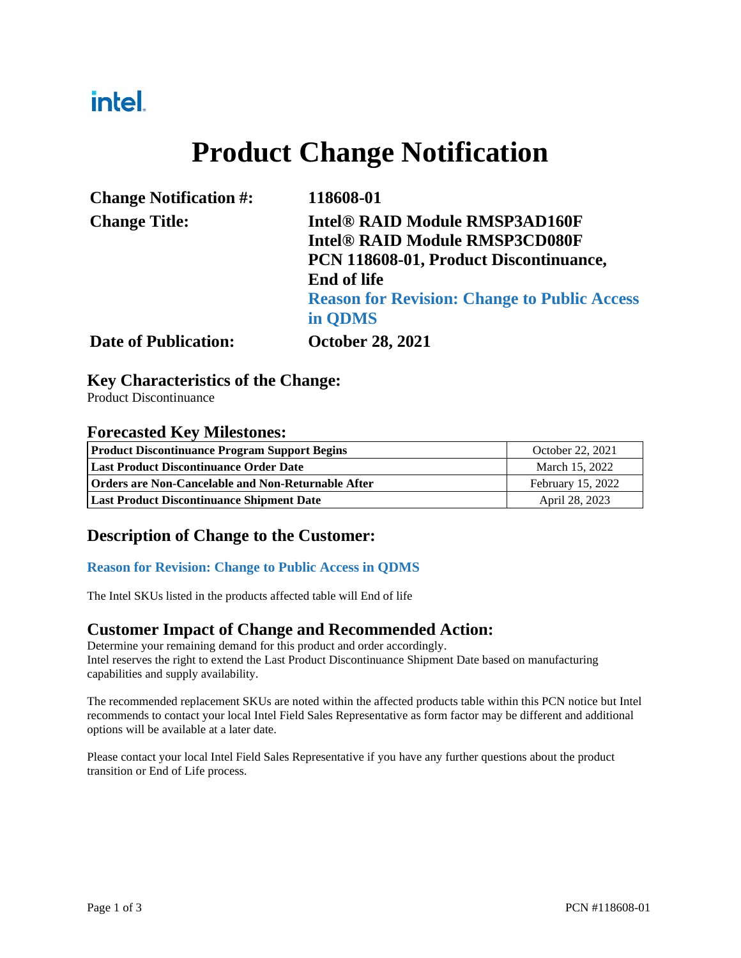# intel.

# **Product Change Notification**

| <b>Change Notification #:</b> | 118608-01                                           |  |  |
|-------------------------------|-----------------------------------------------------|--|--|
| <b>Change Title:</b>          | <b>Intel® RAID Module RMSP3AD160F</b>               |  |  |
|                               | <b>Intel® RAID Module RMSP3CD080F</b>               |  |  |
|                               | PCN 118608-01, Product Discontinuance,              |  |  |
|                               | <b>End of life</b>                                  |  |  |
|                               | <b>Reason for Revision: Change to Public Access</b> |  |  |
|                               | in <b>QDMS</b>                                      |  |  |
| <b>Date of Publication:</b>   | <b>October 28, 2021</b>                             |  |  |

## **Key Characteristics of the Change:** Product Discontinuance

### **Forecasted Key Milestones:**

| Product Discontinuance Program Support Begins             | October 22, 2021  |
|-----------------------------------------------------------|-------------------|
| <b>Last Product Discontinuance Order Date</b>             | March 15, 2022    |
| <b>Orders are Non-Cancelable and Non-Returnable After</b> | February 15, 2022 |
| <b>Last Product Discontinuance Shipment Date</b>          | April 28, 2023    |

## **Description of Change to the Customer:**

### **Reason for Revision: Change to Public Access in QDMS**

The Intel SKUs listed in the products affected table will End of life

**Customer Impact of Change and Recommended Action:** Determine your remaining demand for this product and order accordingly. Intel reserves the right to extend the Last Product Discontinuance Shipment Date based on manufacturing capabilities and supply availability.

The recommended replacement SKUs are noted within the affected products table within this PCN notice but Intel recommends to contact your local Intel Field Sales Representative as form factor may be different and additional options will be available at a later date.

Please contact your local Intel Field Sales Representative if you have any further questions about the product transition or End of Life process.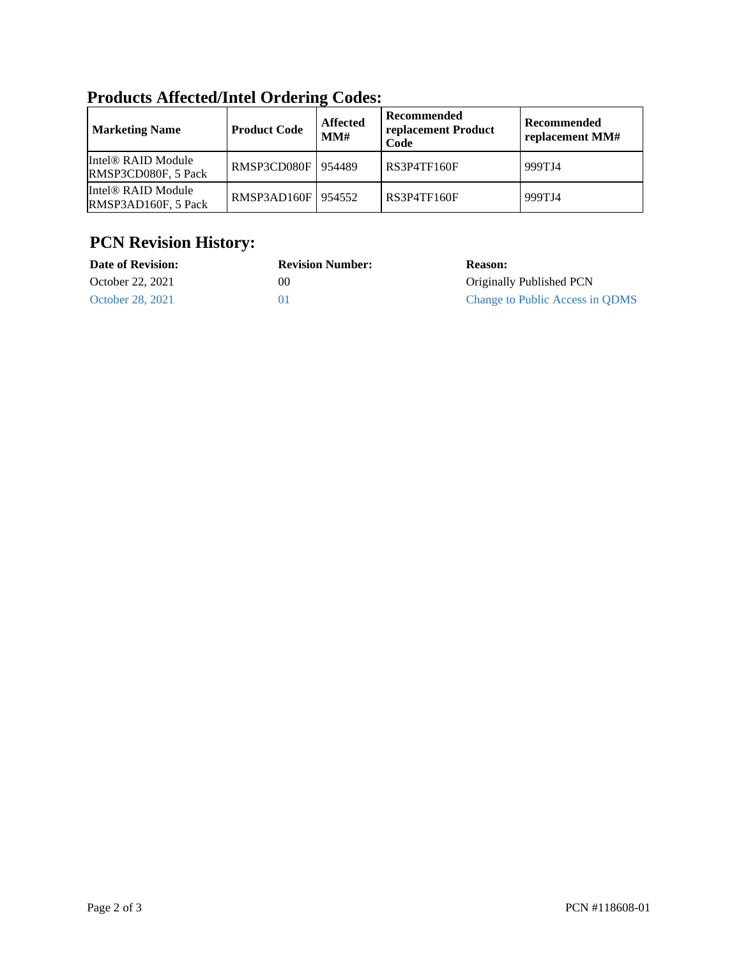| <b>Marketing Name</b>                                 | <b>Product Code</b>  | <b>Affected</b><br>MMH | Recommended<br>replacement Product<br>Code | Recommended<br>replacement MM# |
|-------------------------------------------------------|----------------------|------------------------|--------------------------------------------|--------------------------------|
| Intel <sup>®</sup> RAID Module<br>RMSP3CD080F, 5 Pack | RMSP3CD080F   954489 |                        | RS3P4TF160F                                | 999TJ4                         |
| Intel <sup>®</sup> RAID Module<br>RMSP3AD160F, 5 Pack | RMSP3AD160F   954552 |                        | RS3P4TF160F                                | 999TJ4                         |

## **Products Affected/Intel Ordering Codes:**

## **PCN Revision History:**

| <b>Date of Revision:</b> | <b>Revision Number:</b> | <b>Reason:</b>                  |
|--------------------------|-------------------------|---------------------------------|
| October 22, 2021         | 00                      | Originally Published PCN        |
| October 28, 2021         | $\Omega$                | Change to Public Access in ODMS |